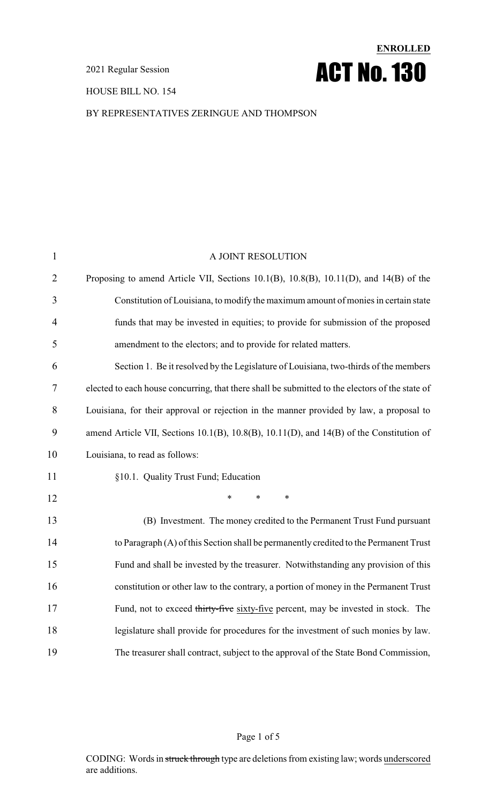HOUSE BILL NO. 154

### BY REPRESENTATIVES ZERINGUE AND THOMPSON

**ENROLLED**

ACT No.130

| $\mathbf{1}$   | A JOINT RESOLUTION                                                                              |
|----------------|-------------------------------------------------------------------------------------------------|
| $\overline{2}$ | Proposing to amend Article VII, Sections 10.1(B), 10.8(B), 10.11(D), and 14(B) of the           |
| 3              | Constitution of Louisiana, to modify the maximum amount of monies in certain state              |
| $\overline{4}$ | funds that may be invested in equities; to provide for submission of the proposed               |
| 5              | amendment to the electors; and to provide for related matters.                                  |
| 6              | Section 1. Be it resolved by the Legislature of Louisiana, two-thirds of the members            |
| 7              | elected to each house concurring, that there shall be submitted to the electors of the state of |
| 8              | Louisiana, for their approval or rejection in the manner provided by law, a proposal to         |
| 9              | amend Article VII, Sections 10.1(B), 10.8(B), 10.11(D), and 14(B) of the Constitution of        |
| 10             | Louisiana, to read as follows:                                                                  |
| 11             | §10.1. Quality Trust Fund; Education                                                            |
| 12             | $\ast$<br>*<br>∗                                                                                |
| 13             | (B) Investment. The money credited to the Permanent Trust Fund pursuant                         |
| 14             | to Paragraph (A) of this Section shall be permanently credited to the Permanent Trust           |
| 15             | Fund and shall be invested by the treasurer. Notwithstanding any provision of this              |
| 16             | constitution or other law to the contrary, a portion of money in the Permanent Trust            |
| 17             | Fund, not to exceed thirty-five sixty-five percent, may be invested in stock. The               |
| 18             | legislature shall provide for procedures for the investment of such monies by law.              |
| 19             | The treasurer shall contract, subject to the approval of the State Bond Commission,             |

Page 1 of 5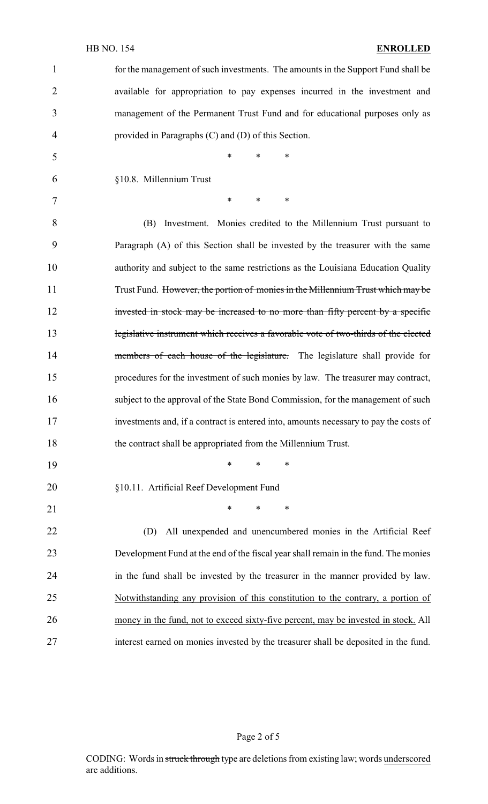### HB NO. 154 **ENROLLED**

| $\mathbf{1}$   | for the management of such investments. The amounts in the Support Fund shall be      |
|----------------|---------------------------------------------------------------------------------------|
| $\overline{2}$ | available for appropriation to pay expenses incurred in the investment and            |
| 3              | management of the Permanent Trust Fund and for educational purposes only as           |
| 4              | provided in Paragraphs (C) and (D) of this Section.                                   |
| 5              | *<br>*<br>*                                                                           |
| 6              | §10.8. Millennium Trust                                                               |
| 7              | $\ast$<br>*<br>∗                                                                      |
| 8              | (B) Investment. Monies credited to the Millennium Trust pursuant to                   |
| 9              | Paragraph (A) of this Section shall be invested by the treasurer with the same        |
| 10             | authority and subject to the same restrictions as the Louisiana Education Quality     |
| 11             | Trust Fund. However, the portion of monies in the Millennium Trust which may be       |
| 12             | invested in stock may be increased to no more than fifty percent by a specific        |
| 13             | legislative instrument which receives a favorable vote of two-thirds of the elected   |
| 14             | members of each house of the legislature. The legislature shall provide for           |
| 15             | procedures for the investment of such monies by law. The treasurer may contract,      |
| 16             | subject to the approval of the State Bond Commission, for the management of such      |
| 17             | investments and, if a contract is entered into, amounts necessary to pay the costs of |
| 18             | the contract shall be appropriated from the Millennium Trust.                         |
| 19             | $\ast$<br>$\ast$<br>∗                                                                 |
| 20             | §10.11. Artificial Reef Development Fund                                              |
| 21             | $\ast$<br>$\ast$<br>$\ast$                                                            |
| 22             | All unexpended and unencumbered monies in the Artificial Reef<br>(D)                  |
| 23             | Development Fund at the end of the fiscal year shall remain in the fund. The monies   |
| 24             | in the fund shall be invested by the treasurer in the manner provided by law.         |
| 25             | Notwithstanding any provision of this constitution to the contrary, a portion of      |
| 26             | money in the fund, not to exceed sixty-five percent, may be invested in stock. All    |
| 27             | interest earned on monies invested by the treasurer shall be deposited in the fund.   |

CODING: Words in struck through type are deletions from existing law; words underscored are additions.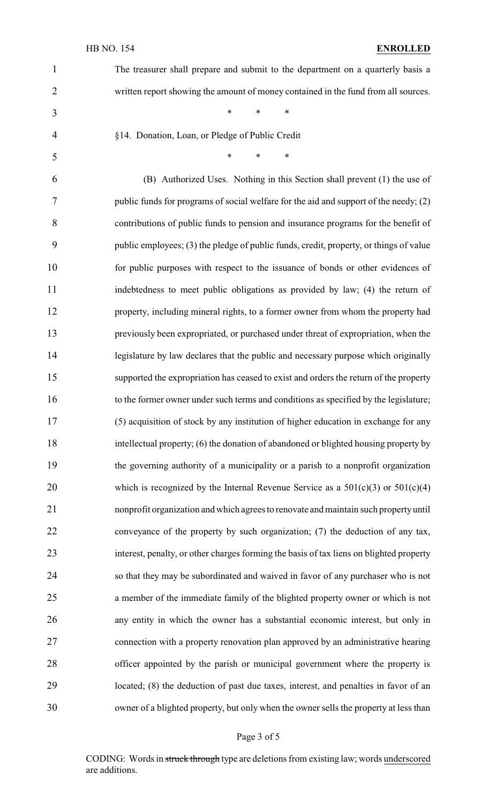| $\mathbf{1}$   | The treasurer shall prepare and submit to the department on a quarterly basis a         |
|----------------|-----------------------------------------------------------------------------------------|
| $\overline{2}$ | written report showing the amount of money contained in the fund from all sources.      |
| 3              | $\ast$<br>$\ast$<br>∗                                                                   |
| 4              | §14. Donation, Loan, or Pledge of Public Credit                                         |
| 5              | $\ast$<br>*<br>∗                                                                        |
| 6              | (B) Authorized Uses. Nothing in this Section shall prevent (1) the use of               |
| 7              | public funds for programs of social welfare for the aid and support of the needy; (2)   |
| 8              | contributions of public funds to pension and insurance programs for the benefit of      |
| 9              | public employees; (3) the pledge of public funds, credit, property, or things of value  |
| 10             | for public purposes with respect to the issuance of bonds or other evidences of         |
| 11             | indebtedness to meet public obligations as provided by law; (4) the return of           |
| 12             | property, including mineral rights, to a former owner from whom the property had        |
| 13             | previously been expropriated, or purchased under threat of expropriation, when the      |
| 14             | legislature by law declares that the public and necessary purpose which originally      |
| 15             | supported the expropriation has ceased to exist and orders the return of the property   |
| 16             | to the former owner under such terms and conditions as specified by the legislature;    |
| 17             | (5) acquisition of stock by any institution of higher education in exchange for any     |
| 18             | intellectual property; (6) the donation of abandoned or blighted housing property by    |
| 19             | the governing authority of a municipality or a parish to a nonprofit organization       |
| 20             | which is recognized by the Internal Revenue Service as a $501(c)(3)$ or $501(c)(4)$     |
| 21             | nonprofit organization and which agrees to renovate and maintain such property until    |
| 22             | conveyance of the property by such organization; (7) the deduction of any tax,          |
| 23             | interest, penalty, or other charges forming the basis of tax liens on blighted property |
| 24             | so that they may be subordinated and waived in favor of any purchaser who is not        |
| 25             | a member of the immediate family of the blighted property owner or which is not         |
| 26             | any entity in which the owner has a substantial economic interest, but only in          |
| 27             | connection with a property renovation plan approved by an administrative hearing        |
| 28             | officer appointed by the parish or municipal government where the property is           |
| 29             | located; (8) the deduction of past due taxes, interest, and penalties in favor of an    |
| 30             | owner of a blighted property, but only when the owner sells the property at less than   |

# Page 3 of 5

CODING: Words in struck through type are deletions from existing law; words underscored are additions.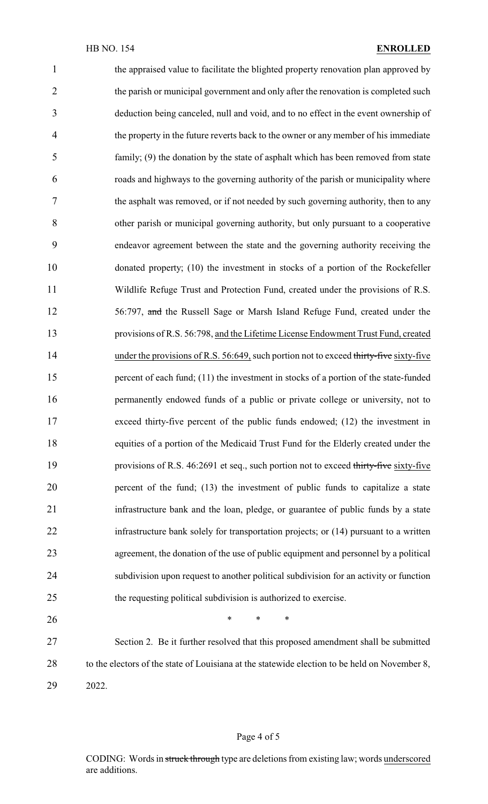the appraised value to facilitate the blighted property renovation plan approved by 2 the parish or municipal government and only after the renovation is completed such deduction being canceled, null and void, and to no effect in the event ownership of the property in the future reverts back to the owner or any member of his immediate family; (9) the donation by the state of asphalt which has been removed from state roads and highways to the governing authority of the parish or municipality where the asphalt was removed, or if not needed by such governing authority, then to any other parish or municipal governing authority, but only pursuant to a cooperative endeavor agreement between the state and the governing authority receiving the donated property; (10) the investment in stocks of a portion of the Rockefeller Wildlife Refuge Trust and Protection Fund, created under the provisions of R.S. 56:797, and the Russell Sage or Marsh Island Refuge Fund, created under the provisions of R.S. 56:798, and the Lifetime License Endowment Trust Fund, created 14 under the provisions of R.S. 56:649, such portion not to exceed thirty-five sixty-five 15 percent of each fund; (11) the investment in stocks of a portion of the state-funded permanently endowed funds of a public or private college or university, not to exceed thirty-five percent of the public funds endowed; (12) the investment in equities of a portion of the Medicaid Trust Fund for the Elderly created under the 19 provisions of R.S. 46:2691 et seq., such portion not to exceed thirty-five sixty-five percent of the fund; (13) the investment of public funds to capitalize a state infrastructure bank and the loan, pledge, or guarantee of public funds by a state infrastructure bank solely for transportation projects; or (14) pursuant to a written agreement, the donation of the use of public equipment and personnel by a political subdivision upon request to another political subdivision for an activity or function the requesting political subdivision is authorized to exercise.  $*$  \* \* \* Section 2. Be it further resolved that this proposed amendment shall be submitted 28 to the electors of the state of Louisiana at the statewide election to be held on November 8,

2022.

### Page 4 of 5

CODING: Words in struck through type are deletions from existing law; words underscored are additions.